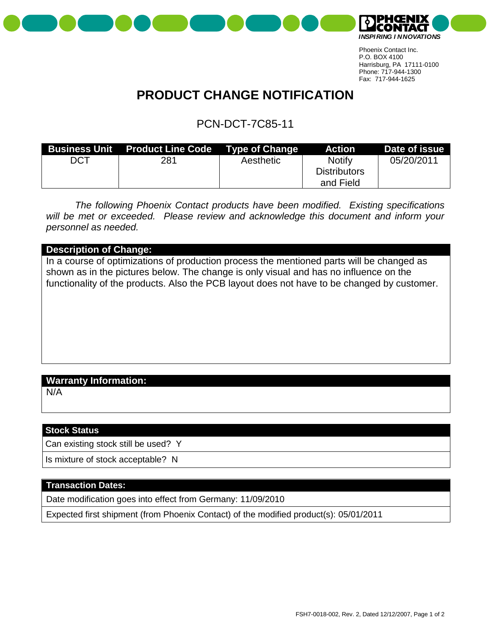



## **PRODUCT CHANGE NOTIFICATION**

### PCN-DCT-7C85-11

| <b>Business Unit</b> | <b>Product Line Code</b> Type of Change |           | <b>Action</b>       | Date of issue |
|----------------------|-----------------------------------------|-----------|---------------------|---------------|
| DCT                  | 281                                     | Aesthetic | Notify              | 05/20/2011    |
|                      |                                         |           | <b>Distributors</b> |               |
|                      |                                         |           | and Field           |               |

*The following Phoenix Contact products have been modified. Existing specifications will be met or exceeded. Please review and acknowledge this document and inform your personnel as needed.*

#### **Description of Change:**

In a course of optimizations of production process the mentioned parts will be changed as shown as in the pictures below. The change is only visual and has no influence on the functionality of the products. Also the PCB layout does not have to be changed by customer.

### **Warranty Information:**

N/A

#### **Stock Status**

Can existing stock still be used? Y

Is mixture of stock acceptable? N

#### **Transaction Dates:**

Date modification goes into effect from Germany: 11/09/2010

Expected first shipment (from Phoenix Contact) of the modified product(s): 05/01/2011